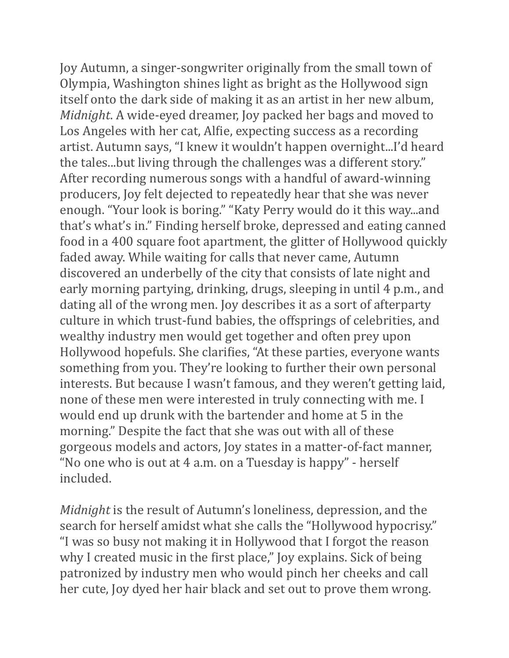Joy Autumn, a singer-songwriter originally from the small town of Olympia, Washington shines light as bright as the Hollywood sign itself onto the dark side of making it as an artist in her new album, *Midnight*. A wide-eyed dreamer, Joy packed her bags and moved to Los Angeles with her cat, Alfie, expecting success as a recording artist. Autumn says, "I knew it wouldn't happen overnight...I'd heard the tales...but living through the challenges was a different story." After recording numerous songs with a handful of award-winning producers, Joy felt dejected to repeatedly hear that she was never enough. "Your look is boring." "Katy Perry would do it this way...and that's what's in." Finding herself broke, depressed and eating canned food in a 400 square foot apartment, the glitter of Hollywood quickly faded away. While waiting for calls that never came, Autumn discovered an underbelly of the city that consists of late night and early morning partying, drinking, drugs, sleeping in until 4 p.m., and dating all of the wrong men. Joy describes it as a sort of afterparty culture in which trust-fund babies, the offsprings of celebrities, and wealthy industry men would get together and often prey upon Hollywood hopefuls. She clarifies, "At these parties, everyone wants something from you. They're looking to further their own personal interests. But because I wasn't famous, and they weren't getting laid, none of these men were interested in truly connecting with me. I would end up drunk with the bartender and home at 5 in the morning." Despite the fact that she was out with all of these gorgeous models and actors, Joy states in a matter-of-fact manner, "No one who is out at  $4$  a.m. on a Tuesday is happy" - herself included. 

*Midnight* is the result of Autumn's loneliness, depression, and the search for herself amidst what she calls the "Hollywood hypocrisy." "I was so busy not making it in Hollywood that I forgot the reason why I created music in the first place," Joy explains. Sick of being patronized by industry men who would pinch her cheeks and call her cute, Joy dyed her hair black and set out to prove them wrong.